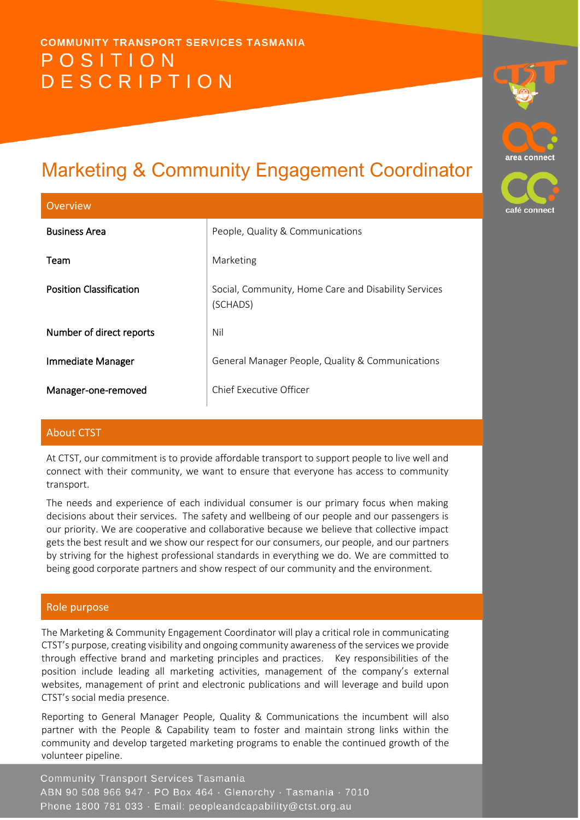# **COMMUNITY TRANSPORT SERVICES TASMANIA** POSITION **DESCRIPTION**

# Marketing & Community Engagement Coordinator

| Overview                       |                                                                  | café con |
|--------------------------------|------------------------------------------------------------------|----------|
| <b>Business Area</b>           | People, Quality & Communications                                 |          |
| Team                           | Marketing                                                        |          |
| <b>Position Classification</b> | Social, Community, Home Care and Disability Services<br>(SCHADS) |          |
| Number of direct reports       | Nil                                                              |          |
| <b>Immediate Manager</b>       | General Manager People, Quality & Communications                 |          |
| Manager-one-removed            | Chief Executive Officer                                          |          |

area connec

ect

# About CTST

At CTST, our commitment is to provide affordable transport to support people to live well and connect with their community, we want to ensure that everyone has access to community transport.

The needs and experience of each individual consumer is our primary focus when making decisions about their services. The safety and wellbeing of our people and our passengers is our priority. We are cooperative and collaborative because we believe that collective impact gets the best result and we show our respect for our consumers, our people, and our partners by striving for the highest professional standards in everything we do. We are committed to being good corporate partners and show respect of our community and the environment.

# Role purpose

The Marketing & Community Engagement Coordinator will play a critical role in communicating CTST's purpose, creating visibility and ongoing community awareness of the services we provide through effective brand and marketing principles and practices. Key responsibilities of the position include leading all marketing activities, management of the company's external websites, management of print and electronic publications and will leverage and build upon CTST's social media presence.

Reporting to General Manager People, Quality & Communications the incumbent will also partner with the People & Capability team to foster and maintain strong links within the community and develop targeted marketing programs to enable the continued growth of the volunteer pipeline.

**Community Transport Services Tasmania** ABN 90 508 966 947 · PO Box 464 · Glenorchy · Tasmania · 7010 Phone 1800 781 033 · Email: peopleandcapability@ctst.org.au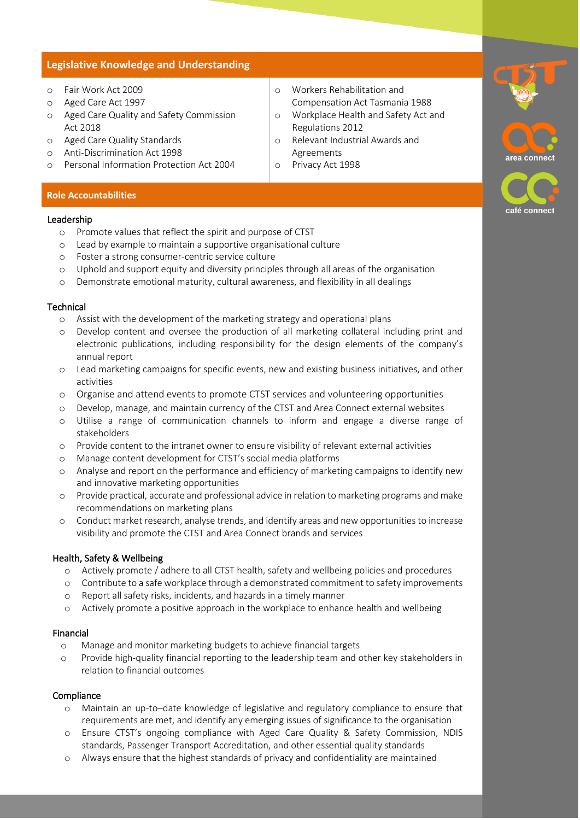### **Legislative Knowledge and Understanding**

- o Fair Work Act 2009
- o Aged Care Act 1997
- o Aged Care Quality and Safety Commission Act 2018
- o Aged Care Quality Standards
- o Anti-Discrimination Act 1998
- o Personal Information Protection Act 2004
- o Workers Rehabilitation and Compensation Act Tasmania 1988
- o Workplace Health and Safety Act and Regulations 2012
- o Relevant Industrial Awards and Agreements
- o Privacy Act 1998

#### **Role Accountabilities**

#### Leadership

- o Promote values that reflect the spirit and purpose of CTST
- o Lead by example to maintain a supportive organisational culture
- o Foster a strong consumer-centric service culture
- o Uphold and support equity and diversity principles through all areas of the organisation
- o Demonstrate emotional maturity, cultural awareness, and flexibility in all dealings

#### **Technical**

- o Assist with the development of the marketing strategy and operational plans
- o Develop content and oversee the production of all marketing collateral including print and electronic publications, including responsibility for the design elements of the company's annual report
- o Lead marketing campaigns for specific events, new and existing business initiatives, and other activities
- o Organise and attend events to promote CTST services and volunteering opportunities
- o Develop, manage, and maintain currency of the CTST and Area Connect external websites
- o Utilise a range of communication channels to inform and engage a diverse range of stakeholders
- o Provide content to the intranet owner to ensure visibility of relevant external activities
- o Manage content development for CTST's social media platforms
- o Analyse and report on the performance and efficiency of marketing campaigns to identify new and innovative marketing opportunities
- o Provide practical, accurate and professional advice in relation to marketing programs and make recommendations on marketing plans
- o Conduct market research, analyse trends, and identify areas and new opportunities to increase visibility and promote the CTST and Area Connect brands and services

#### Health, Safety & Wellbeing

- o Actively promote / adhere to all CTST health, safety and wellbeing policies and procedures
- o Contribute to a safe workplace through a demonstrated commitment to safety improvements
- o Report all safety risks, incidents, and hazards in a timely manner
- o Actively promote a positive approach in the workplace to enhance health and wellbeing

#### Financial

- o Manage and monitor marketing budgets to achieve financial targets
- o Provide high-quality financial reporting to the leadership team and other key stakeholders in relation to financial outcomes

# Compliance

- o Maintain an up-to–date knowledge of legislative and regulatory compliance to ensure that requirements are met, and identify any emerging issues of significance to the organisation
- o Ensure CTST's ongoing compliance with Aged Care Quality & Safety Commission, NDIS standards, Passenger Transport Accreditation, and other essential quality standards
- o Always ensure that the highest standards of privacy and confidentiality are maintained